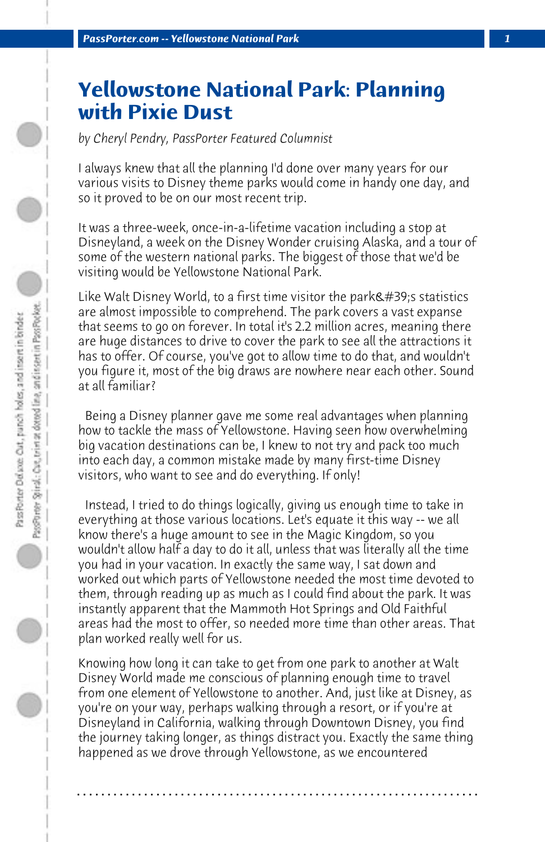## **Yellowstone National Park: Planning with Pixie Dust**

*by Cheryl Pendry, PassPorter Featured Columnist*

I always knew that all the planning I'd done over many years for our various visits to Disney theme parks would come in handy one day, and so it proved to be on our most recent trip.

It was a three-week, once-in-a-lifetime vacation including a stop at Disneyland, a week on the Disney Wonder cruising Alaska, and a tour of some of the western national parks. The biggest of those that we'd be visiting would be Yellowstone National Park.

Like Walt Disney World, to a first time visitor the park $\&\#39$ ; s statistics are almost impossible to comprehend. The park covers a vast expanse that seems to go on forever. In total it's 2.2 million acres, meaning there are huge distances to drive to cover the park to see all the attractions it has to offer. Of course, you've got to allow time to do that, and wouldn't you figure it, most of the big draws are nowhere near each other. Sound at all familiar?

 Being a Disney planner gave me some real advantages when planning how to tackle the mass of Yellowstone. Having seen how overwhelming big vacation destinations can be, I knew to not try and pack too much into each day, a common mistake made by many first-time Disney visitors, who want to see and do everything. If only!

 Instead, I tried to do things logically, giving us enough time to take in everything at those various locations. Let's equate it this way -- we all know there's a huge amount to see in the Magic Kingdom, so you wouldn't allow half a day to do it all, unless that was literally all the time you had in your vacation. In exactly the same way, I sat down and worked out which parts of Yellowstone needed the most time devoted to them, through reading up as much as I could find about the park. It was instantly apparent that the Mammoth Hot Springs and Old Faithful areas had the most to offer, so needed more time than other areas. That plan worked really well for us.

Knowing how long it can take to get from one park to another at Walt Disney World made me conscious of planning enough time to travel from one element of Yellowstone to another. And, just like at Disney, as you're on your way, perhaps walking through a resort, or if you're at Disneyland in California, walking through Downtown Disney, you find the journey taking longer, as things distract you. Exactly the same thing happened as we drove through Yellowstone, as we encountered

**. . . . . . . . . . . . . . . . . . . . . . . . . . . . . . . . . . . . . . . . . . . . . . . . . . . . . . . . . . . . . . . . . .**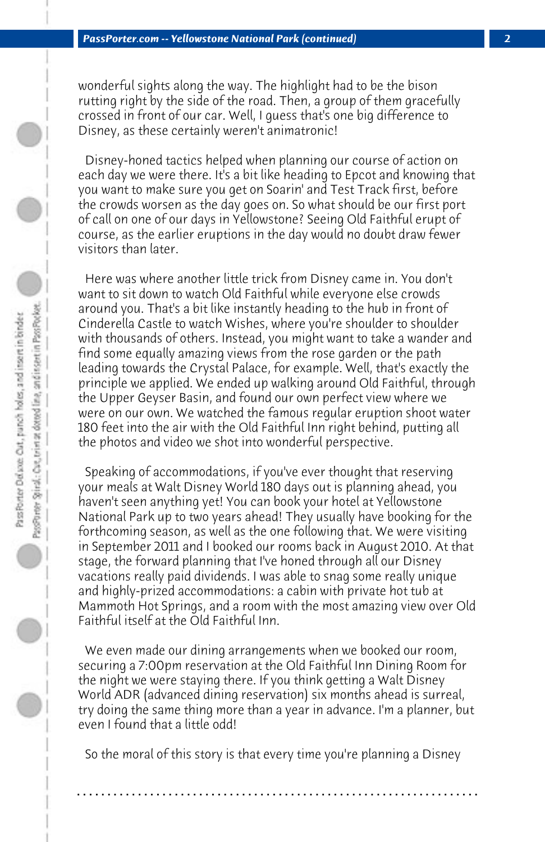wonderful sights along the way. The highlight had to be the bison rutting right by the side of the road. Then, a group of them gracefully crossed in front of our car. Well, I guess that's one big difference to Disney, as these certainly weren't animatronic!

 Disney-honed tactics helped when planning our course of action on each day we were there. It's a bit like heading to Epcot and knowing that you want to make sure you get on Soarin' and Test Track first, before the crowds worsen as the day goes on. So what should be our first port of call on one of our days in Yellowstone? Seeing Old Faithful erupt of course, as the earlier eruptions in the day would no doubt draw fewer visitors than later.

 Here was where another little trick from Disney came in. You don't want to sit down to watch Old Faithful while everyone else crowds around you. That's a bit like instantly heading to the hub in front of Cinderella Castle to watch Wishes, where you're shoulder to shoulder with thousands of others. Instead, you might want to take a wander and find some equally amazing views from the rose garden or the path leading towards the Crystal Palace, for example. Well, that's exactly the principle we applied. We ended up walking around Old Faithful, through the Upper Geyser Basin, and found our own perfect view where we were on our own. We watched the famous regular eruption shoot water 180 feet into the air with the Old Faithful Inn right behind, putting all the photos and video we shot into wonderful perspective.

 Speaking of accommodations, if you've ever thought that reserving your meals at Walt Disney World 180 days out is planning ahead, you haven't seen anything yet! You can book your hotel at Yellowstone National Park up to two years ahead! They usually have booking for the forthcoming season, as well as the one following that. We were visiting in September 2011 and I booked our rooms back in August 2010. At that stage, the forward planning that I've honed through all our Disney vacations really paid dividends. I was able to snag some really unique and highly-prized accommodations: a cabin with private hot tub at Mammoth Hot Springs, and a room with the most amazing view over Old Faithful itself at the Old Faithful Inn.

 We even made our dining arrangements when we booked our room, securing a 7:00pm reservation at the Old Faithful Inn Dining Room for the night we were staying there. If you think getting a Walt Disney World ADR (advanced dining reservation) six months ahead is surreal, try doing the same thing more than a year in advance. I'm a planner, but even I found that a little odd!

 So the moral of this story is that every time you're planning a Disney

**. . . . . . . . . . . . . . . . . . . . . . . . . . . . . . . . . . . . . . . . . . . . . . . . . . . . . . . . . . . . . . . . . .**